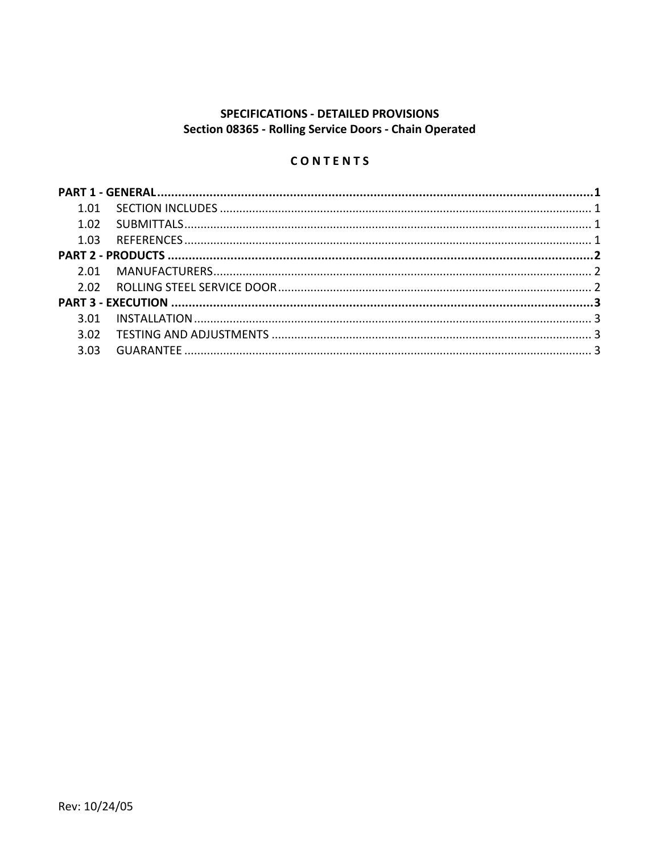# SPECIFICATIONS - DETAILED PROVISIONS Section 08365 - Rolling Service Doors - Chain Operated

# CONTENTS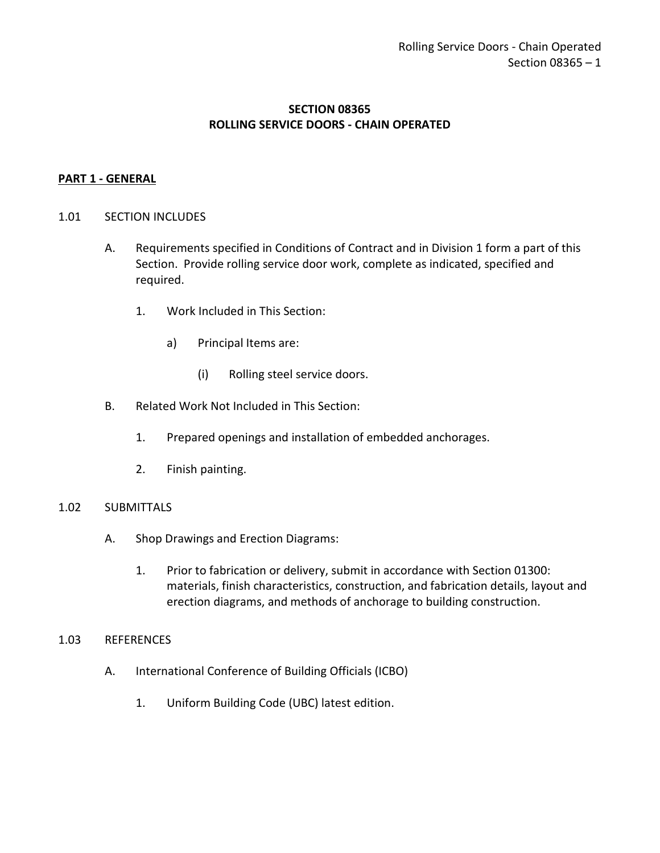# **SECTION 08365 ROLLING SERVICE DOORS - CHAIN OPERATED**

# <span id="page-2-0"></span>**PART 1 - GENERAL**

#### <span id="page-2-1"></span>1.01 SECTION INCLUDES

- A. Requirements specified in Conditions of Contract and in Division 1 form a part of this Section. Provide rolling service door work, complete as indicated, specified and required.
	- 1. Work Included in This Section:
		- a) Principal Items are:
			- (i) Rolling steel service doors.
- B. Related Work Not Included in This Section:
	- 1. Prepared openings and installation of embedded anchorages.
	- 2. Finish painting.

# <span id="page-2-2"></span>1.02 SUBMITTALS

- A. Shop Drawings and Erection Diagrams:
	- 1. Prior to fabrication or delivery, submit in accordance with Section 01300: materials, finish characteristics, construction, and fabrication details, layout and erection diagrams, and methods of anchorage to building construction.

#### <span id="page-2-3"></span>1.03 REFERENCES

- A. International Conference of Building Officials (ICBO)
	- 1. Uniform Building Code (UBC) latest edition.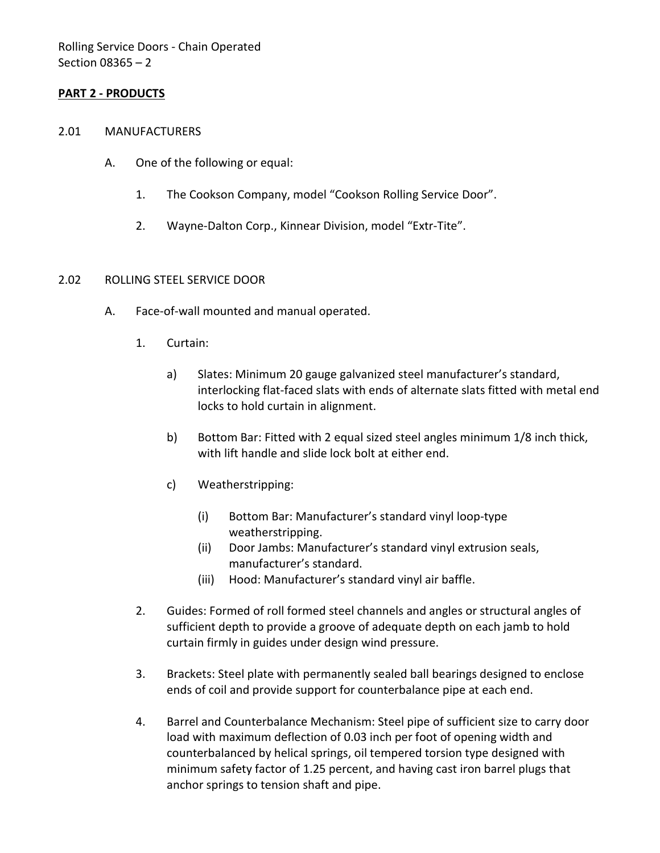# <span id="page-3-0"></span>**PART 2 - PRODUCTS**

#### <span id="page-3-1"></span>2.01 MANUFACTURERS

- A. One of the following or equal:
	- 1. The Cookson Company, model "Cookson Rolling Service Door".
	- 2. Wayne-Dalton Corp., Kinnear Division, model "Extr-Tite".

#### <span id="page-3-2"></span>2.02 ROLLING STEEL SERVICE DOOR

- A. Face-of-wall mounted and manual operated.
	- 1. Curtain:
		- a) Slates: Minimum 20 gauge galvanized steel manufacturer's standard, interlocking flat-faced slats with ends of alternate slats fitted with metal end locks to hold curtain in alignment.
		- b) Bottom Bar: Fitted with 2 equal sized steel angles minimum 1/8 inch thick, with lift handle and slide lock bolt at either end.
		- c) Weatherstripping:
			- (i) Bottom Bar: Manufacturer's standard vinyl loop-type weatherstripping.
			- (ii) Door Jambs: Manufacturer's standard vinyl extrusion seals, manufacturer's standard.
			- (iii) Hood: Manufacturer's standard vinyl air baffle.
	- 2. Guides: Formed of roll formed steel channels and angles or structural angles of sufficient depth to provide a groove of adequate depth on each jamb to hold curtain firmly in guides under design wind pressure.
	- 3. Brackets: Steel plate with permanently sealed ball bearings designed to enclose ends of coil and provide support for counterbalance pipe at each end.
	- 4. Barrel and Counterbalance Mechanism: Steel pipe of sufficient size to carry door load with maximum deflection of 0.03 inch per foot of opening width and counterbalanced by helical springs, oil tempered torsion type designed with minimum safety factor of 1.25 percent, and having cast iron barrel plugs that anchor springs to tension shaft and pipe.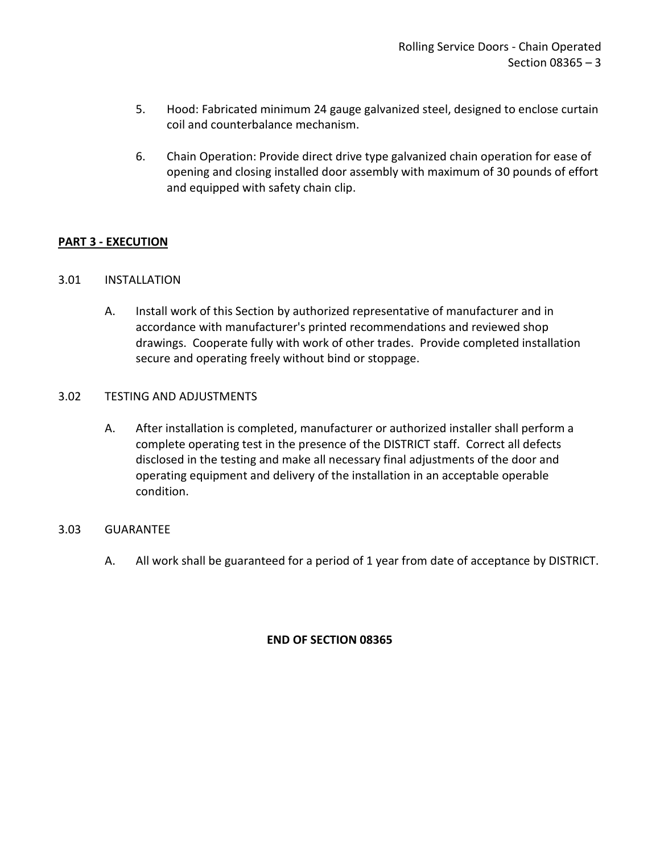- 5. Hood: Fabricated minimum 24 gauge galvanized steel, designed to enclose curtain coil and counterbalance mechanism.
- 6. Chain Operation: Provide direct drive type galvanized chain operation for ease of opening and closing installed door assembly with maximum of 30 pounds of effort and equipped with safety chain clip.

# <span id="page-4-0"></span>**PART 3 - EXECUTION**

# <span id="page-4-1"></span>3.01 INSTALLATION

A. Install work of this Section by authorized representative of manufacturer and in accordance with manufacturer's printed recommendations and reviewed shop drawings. Cooperate fully with work of other trades. Provide completed installation secure and operating freely without bind or stoppage.

# <span id="page-4-2"></span>3.02 TESTING AND ADJUSTMENTS

A. After installation is completed, manufacturer or authorized installer shall perform a complete operating test in the presence of the DISTRICT staff. Correct all defects disclosed in the testing and make all necessary final adjustments of the door and operating equipment and delivery of the installation in an acceptable operable condition.

#### <span id="page-4-3"></span>3.03 GUARANTEE

A. All work shall be guaranteed for a period of 1 year from date of acceptance by DISTRICT.

# **END OF SECTION 08365**